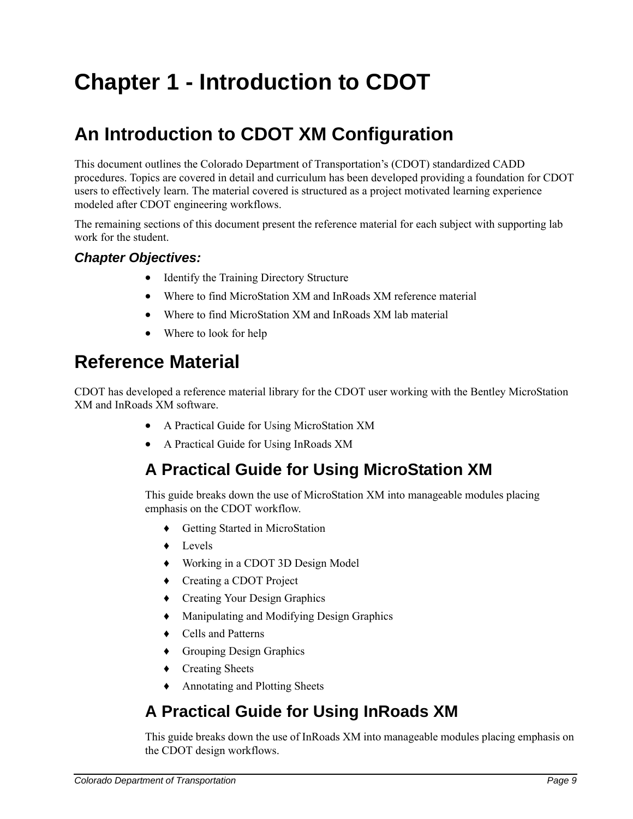# **Chapter 1 - Introduction to CDOT**

# **An Introduction to CDOT XM Configuration**

This document outlines the Colorado Department of Transportation's (CDOT) standardized CADD procedures. Topics are covered in detail and curriculum has been developed providing a foundation for CDOT users to effectively learn. The material covered is structured as a project motivated learning experience modeled after CDOT engineering workflows.

The remaining sections of this document present the reference material for each subject with supporting lab work for the student.

### *Chapter Objectives:*

- Identify the Training Directory Structure
- Where to find MicroStation XM and InRoads XM reference material
- Where to find MicroStation XM and InRoads XM lab material
- Where to look for help

# **Reference Material**

CDOT has developed a reference material library for the CDOT user working with the Bentley MicroStation XM and InRoads XM software.

- A Practical Guide for Using MicroStation XM
- A Practical Guide for Using InRoads XM

## **A Practical Guide for Using MicroStation XM**

This guide breaks down the use of MicroStation XM into manageable modules placing emphasis on the CDOT workflow.

- ♦ Getting Started in MicroStation
- ♦ Levels
- ♦ Working in a CDOT 3D Design Model
- ♦ Creating a CDOT Project
- ♦ Creating Your Design Graphics
- ♦ Manipulating and Modifying Design Graphics
- ♦ Cells and Patterns
- ♦ Grouping Design Graphics
- ♦ Creating Sheets
- ♦ Annotating and Plotting Sheets

# **A Practical Guide for Using InRoads XM**

This guide breaks down the use of InRoads XM into manageable modules placing emphasis on the CDOT design workflows.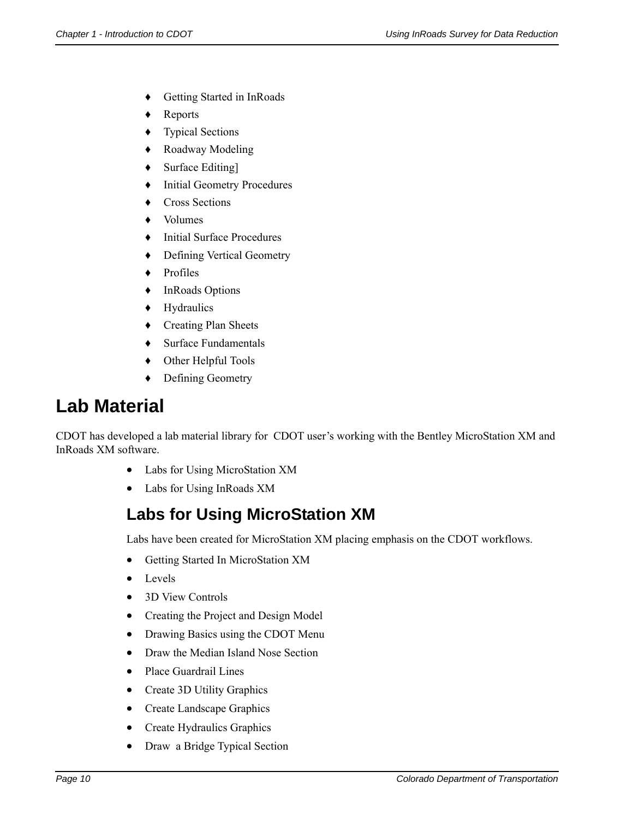- ♦ Getting Started in InRoads
- ♦ Reports
- ♦ Typical Sections
- ♦ Roadway Modeling
- ♦ Surface Editing]
- ♦ Initial Geometry Procedures
- ♦ Cross Sections
- ♦ Volumes
- ♦ Initial Surface Procedures
- ♦ Defining Vertical Geometry
- ♦ Profiles
- ♦ InRoads Options
- ♦ Hydraulics
- ♦ Creating Plan Sheets
- ♦ Surface Fundamentals
- ♦ Other Helpful Tools
- ♦ Defining Geometry

# **Lab Material**

CDOT has developed a lab material library for CDOT user's working with the Bentley MicroStation XM and InRoads XM software.

- Labs for Using MicroStation XM
- Labs for Using InRoads XM

# **Labs for Using MicroStation XM**

Labs have been created for MicroStation XM placing emphasis on the CDOT workflows.

- Getting Started In MicroStation XM
- Levels
- 3D View Controls
- Creating the Project and Design Model
- Drawing Basics using the CDOT Menu
- Draw the Median Island Nose Section
- Place Guardrail Lines
- Create 3D Utility Graphics
- Create Landscape Graphics
- Create Hydraulics Graphics
- Draw a Bridge Typical Section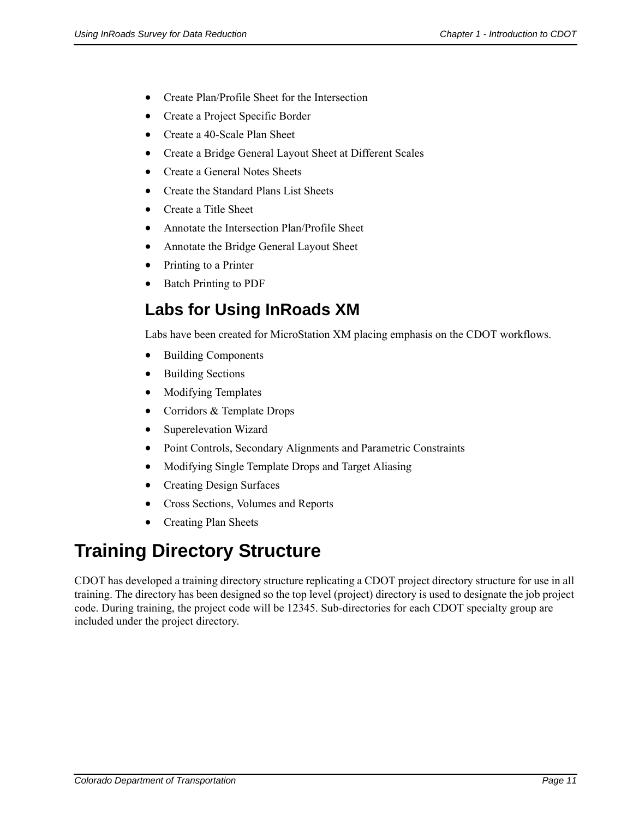- Create Plan/Profile Sheet for the Intersection
- Create a Project Specific Border
- Create a 40-Scale Plan Sheet
- Create a Bridge General Layout Sheet at Different Scales
- Create a General Notes Sheets
- Create the Standard Plans List Sheets
- Create a Title Sheet
- Annotate the Intersection Plan/Profile Sheet
- Annotate the Bridge General Layout Sheet
- Printing to a Printer
- Batch Printing to PDF

## **Labs for Using InRoads XM**

Labs have been created for MicroStation XM placing emphasis on the CDOT workflows.

- Building Components
- Building Sections
- Modifying Templates
- Corridors & Template Drops
- Superelevation Wizard
- Point Controls, Secondary Alignments and Parametric Constraints
- Modifying Single Template Drops and Target Aliasing
- Creating Design Surfaces
- Cross Sections, Volumes and Reports
- Creating Plan Sheets

# **Training Directory Structure**

CDOT has developed a training directory structure replicating a CDOT project directory structure for use in all training. The directory has been designed so the top level (project) directory is used to designate the job project code. During training, the project code will be 12345. Sub-directories for each CDOT specialty group are included under the project directory.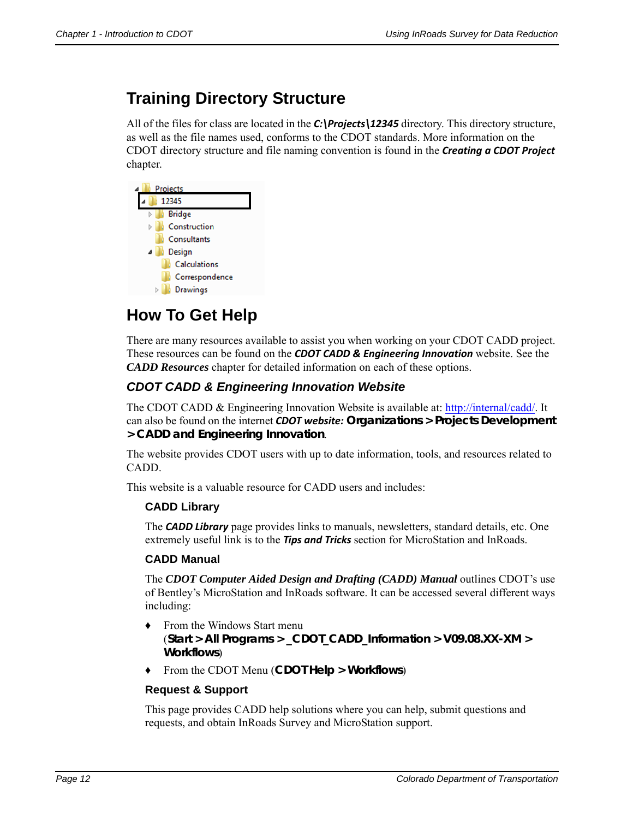## **Training Directory Structure**

All of the files for class are located in the *C:\Projects\12345* directory. This directory structure, as well as the file names used, conforms to the CDOT standards. More information on the CDOT directory structure and file naming convention is found in the *Creating a CDOT Project* chapter.



## **How To Get Help**

There are many resources available to assist you when working on your CDOT CADD project. These resources can be found on the *CDOT CADD & Engineering Innovation* website. See the *CADD Resources* chapter for detailed information on each of these options.

## *CDOT CADD & Engineering Innovation Website*

The CDOT CADD & Engineering Innovation Website is available at: http://internal/cadd/. It can also be found on the internet *CDOT website:* **Organizations > Projects Development > CADD and Engineering Innovation**.

The website provides CDOT users with up to date information, tools, and resources related to CADD.

This website is a valuable resource for CADD users and includes:

### **CADD Library**

The *CADD Library* page provides links to manuals, newsletters, standard details, etc. One extremely useful link is to the *Tips and Tricks* section for MicroStation and InRoads.

#### **CADD Manual**

The *CDOT Computer Aided Design and Drafting (CADD) Manual* outlines CDOT's use of Bentley's MicroStation and InRoads software. It can be accessed several different ways including:

- ♦ From the Windows Start menu (**Start > All Programs > \_CDOT\_CADD\_Information > V09.08.XX-XM > Workflows**)
- ♦ From the CDOT Menu (**CDOT Help > Workflows**)

#### **Request & Support**

This page provides CADD help solutions where you can help, submit questions and requests, and obtain InRoads Survey and MicroStation support.